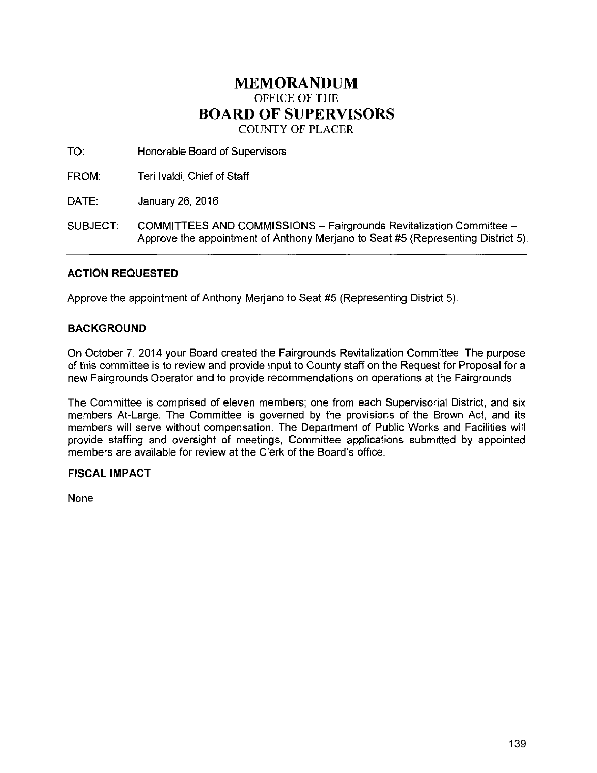# **MEMORANDUM**  OFFICE OF THE **BOARD OF SUPERVISORS**  COUNTY OF PLACER

TO: Honorable Board of Supervisors

FROM: Teri lvaldi, Chief of Staff

DATE: January 26, 2016

SUBJECT: COMMITTEES AND COMMISSIONS- Fairgrounds Revitalization Committee-Approve the appointment of Anthony Merjano to Seat #5 (Representing District 5).

## **ACTION REQUESTED**

Approve the appointment of Anthony Merjano to Seat #5 (Representing District 5).

## **BACKGROUND**

On October 7, 2014 your Board created the Fairgrounds Revitalization Committee. The purpose of this committee is to review and provide input to County staff on the Request for Proposal for a new Fairgrounds Operator and to provide recommendations on operations at the Fairgrounds.

The Committee is comprised of eleven members; one from each Supervisorial District, and six members At-Large. The Committee is governed by the provisions of the Brown Act, and its members will serve without compensation. The Department of Public Works and Facilities will provide staffing and oversight of meetings, Committee applications submitted by appointed members are available for review at the Clerk of the Board's office.

## **FISCAL IMPACT**

None